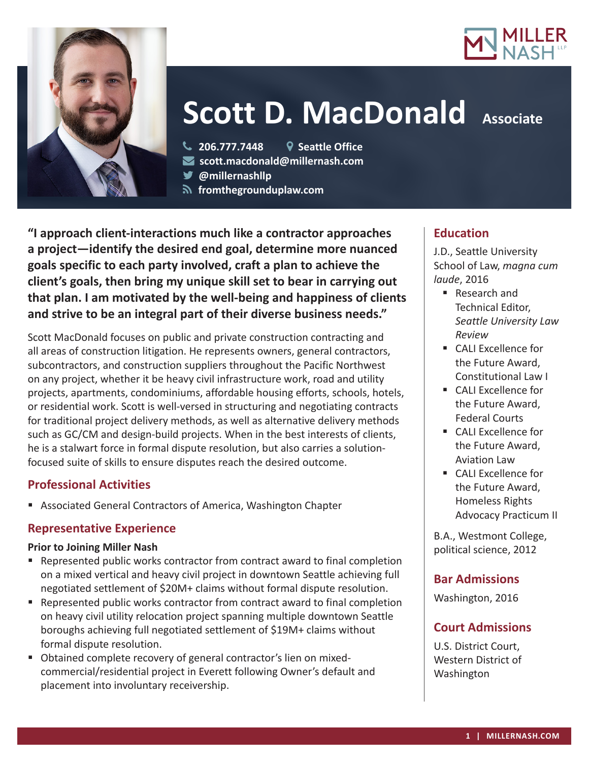



# **Scott D. MacDonald Associate**

**206.777.7448 Seattle Office**

**scott.macdonald@millernash.com** 

**@millernashllp** 

 **fromthegrounduplaw.com**

**"I approach client-interactions much like a contractor approaches a project—identify the desired end goal, determine more nuanced goals specific to each party involved, craft a plan to achieve the client's goals, then bring my unique skill set to bear in carrying out that plan. I am motivated by the well-being and happiness of clients and strive to be an integral part of their diverse business needs."**

Scott MacDonald focuses on public and private construction contracting and all areas of construction litigation. He represents owners, general contractors, subcontractors, and construction suppliers throughout the Pacific Northwest on any project, whether it be heavy civil infrastructure work, road and utility projects, apartments, condominiums, affordable housing efforts, schools, hotels, or residential work. Scott is well-versed in structuring and negotiating contracts for traditional project delivery methods, as well as alternative delivery methods such as GC/CM and design-build projects. When in the best interests of clients, he is a stalwart force in formal dispute resolution, but also carries a solutionfocused suite of skills to ensure disputes reach the desired outcome.

# **Professional Activities**

Associated General Contractors of America, Washington Chapter

#### **Representative Experience**

#### **Prior to Joining Miller Nash**

- Represented public works contractor from contract award to final completion on a mixed vertical and heavy civil project in downtown Seattle achieving full negotiated settlement of \$20M+ claims without formal dispute resolution.
- Represented public works contractor from contract award to final completion on heavy civil utility relocation project spanning multiple downtown Seattle boroughs achieving full negotiated settlement of \$19M+ claims without formal dispute resolution.
- Obtained complete recovery of general contractor's lien on mixedcommercial/residential project in Everett following Owner's default and placement into involuntary receivership.

#### **Education**

J.D., Seattle University School of Law, *magna cum laude*, 2016

- Research and Technical Editor, *Seattle University Law Review*
- CALI Excellence for the Future Award, Constitutional Law I
- CALI Excellence for the Future Award, Federal Courts
- CALI Excellence for the Future Award, Aviation Law
- CALI Excellence for the Future Award, Homeless Rights Advocacy Practicum II

B.A., Westmont College, political science, 2012

# **Bar Admissions**

Washington, 2016

# **Court Admissions**

U.S. District Court, Western District of Washington